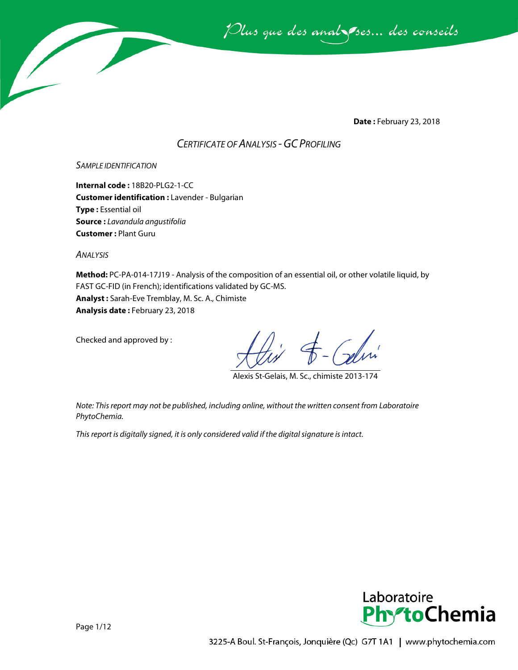Plus que des analsses... des conseils

**Date :** February 23, 2018

# *CERTIFICATE OF ANALYSIS -GC PROFILING*

*SAMPLE IDENTIFICATION*

**Internal code :** 18B20-PLG2-1-CC **Customer identification :** Lavender - Bulgarian **Type :** Essential oil **Source :** *Lavandula angustifolia* **Customer :** Plant Guru

*ANALYSIS*

**Method:** PC-PA-014-17J19 - Analysis of the composition of an essential oil, or other volatile liquid, by FAST GC-FID (in French); identifications validated by GC-MS. **Analyst :** Sarah-Eve Tremblay, M. Sc. A., Chimiste **Analysis date :** February 23, 2018

Checked and approved by :

Alexis St-Gelais, M. Sc., chimiste 2013-174

*Note: This report may not be published, including online, without the written consent from Laboratoire PhytoChemia.*

*This report is digitally signed, it is only considered valid if the digital signature is intact.*

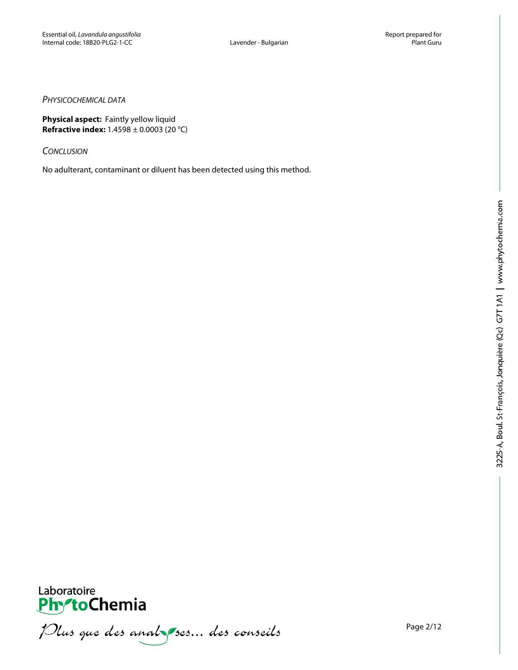### *PHYSICOCHEMICAL DATA*

**Physical aspect:** Faintly yellow liquid **Refractive index:** 1.4598 ± 0.0003 (20 °C)

*CONCLUSION*

No adulterant, contaminant or diluent has been detected using this method.



Plus que des analzes... des conseils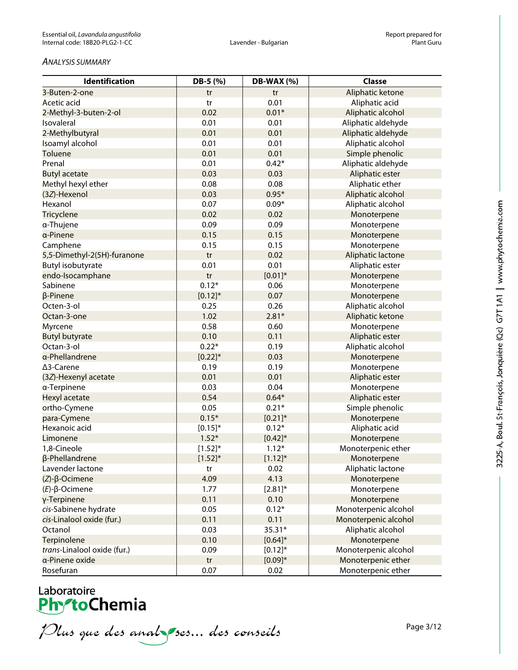#### *ANALYSIS SUMMARY*

| Identification              | DB-5 (%)                   | DB-WAX (%)   | <b>Classe</b>        |
|-----------------------------|----------------------------|--------------|----------------------|
| 3-Buten-2-one               | tr                         | tr           | Aliphatic ketone     |
| Acetic acid                 | tr                         | 0.01         | Aliphatic acid       |
| 2-Methyl-3-buten-2-ol       | 0.02                       | $0.01*$      | Aliphatic alcohol    |
| Isovaleral                  | 0.01                       | 0.01         | Aliphatic aldehyde   |
| 2-Methylbutyral             | 0.01                       | 0.01         | Aliphatic aldehyde   |
| Isoamyl alcohol             | 0.01                       | 0.01         | Aliphatic alcohol    |
| Toluene                     | 0.01                       | 0.01         | Simple phenolic      |
| Prenal                      | 0.01                       | $0.42*$      | Aliphatic aldehyde   |
| <b>Butyl acetate</b>        | 0.03                       | 0.03         | Aliphatic ester      |
| Methyl hexyl ether          | 0.08                       | 0.08         | Aliphatic ether      |
| (3Z)-Hexenol                | 0.03                       | $0.95*$      | Aliphatic alcohol    |
| Hexanol                     | 0.07                       | $0.09*$      | Aliphatic alcohol    |
| Tricyclene                  | 0.02                       | 0.02         | Monoterpene          |
| α-Thujene                   | 0.09                       | 0.09         | Monoterpene          |
| a-Pinene                    | 0.15                       | 0.15         | Monoterpene          |
| Camphene                    | 0.15                       | 0.15         | Monoterpene          |
| 5,5-Dimethyl-2(5H)-furanone | tr                         | 0.02         | Aliphatic lactone    |
| Butyl isobutyrate           | 0.01                       | 0.01         | Aliphatic ester      |
| endo-Isocamphane            | $\mathop{\rm tr}\nolimits$ | $[0.01]*$    | Monoterpene          |
| Sabinene                    | $0.12*$                    | 0.06         | Monoterpene          |
| $\beta$ -Pinene             | $[0.12]$ *                 | 0.07         | Monoterpene          |
| Octen-3-ol                  | 0.25                       | 0.26         | Aliphatic alcohol    |
| Octan-3-one                 | 1.02                       | $2.81*$      | Aliphatic ketone     |
| Myrcene                     | 0.58                       | 0.60         | Monoterpene          |
| <b>Butyl butyrate</b>       | 0.10                       | 0.11         | Aliphatic ester      |
| Octan-3-ol                  | $0.22*$                    | 0.19         | Aliphatic alcohol    |
| a-Phellandrene              | $[0.22]^{*}$               | 0.03         | Monoterpene          |
| ∆3-Carene                   | 0.19                       | 0.19         | Monoterpene          |
| (3Z)-Hexenyl acetate        | 0.01                       | 0.01         | Aliphatic ester      |
| a-Terpinene                 | 0.03                       | 0.04         | Monoterpene          |
| Hexyl acetate               | 0.54                       | $0.64*$      | Aliphatic ester      |
| ortho-Cymene                | 0.05                       | $0.21*$      | Simple phenolic      |
| para-Cymene                 | $0.15*$                    | $[0.21]$ *   | Monoterpene          |
| Hexanoic acid               | $[0.15]$ *                 | $0.12*$      | Aliphatic acid       |
| Limonene                    | $1.52*$                    | $[0.42]$ *   | Monoterpene          |
| 1,8-Cineole                 | $[1.52]^{*}$               | $1.12*$      | Monoterpenic ether   |
| β-Phellandrene              | $[1.52]^{*}$               | $[1.12]$ *   | Monoterpene          |
| Lavender lactone            | tr                         | 0.02         | Aliphatic lactone    |
| $(Z)$ - $\beta$ -Ocimene    | 4.09                       | 4.13         | Monoterpene          |
| $(E)-\beta$ -Ocimene        | 1.77                       | $[2.81]^{*}$ | Monoterpene          |
| γ-Terpinene                 | 0.11                       | 0.10         | Monoterpene          |
| cis-Sabinene hydrate        | 0.05                       | $0.12*$      | Monoterpenic alcohol |
| cis-Linalool oxide (fur.)   | 0.11                       | 0.11         | Monoterpenic alcohol |
| Octanol                     | 0.03                       | 35.31*       | Aliphatic alcohol    |
| Terpinolene                 | 0.10                       | $[0.64]$ *   | Monoterpene          |
| trans-Linalool oxide (fur.) | 0.09                       | $[0.12]$ *   | Monoterpenic alcohol |
| a-Pinene oxide              | $\mathop{\rm tr}\nolimits$ | $[0.09]*$    | Monoterpenic ether   |
| Rosefuran                   | 0.07                       | 0.02         | Monoterpenic ether   |

# Laboratoire<br>**Phy<sup>s</sup>toChemia**

Plus que des analzes... des conseils

Page 3/12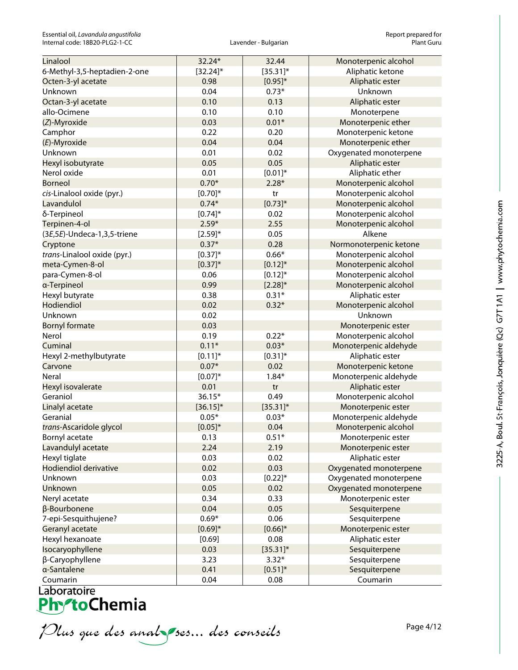Essential oil, *Lavandula angustifolia*<br>
1974 The Essential oil, *Lavandula angustifolia*<br>
29 Report prepared for any solution of the Report of Plant Guru Internal code: 18B20-PLG2-1-CC

| Linalool                     | 32.24*       | 32.44        | Monoterpenic alcohol   |
|------------------------------|--------------|--------------|------------------------|
| 6-Methyl-3,5-heptadien-2-one | $[32.24]$ *  | $[35.31]$ *  | Aliphatic ketone       |
| Octen-3-yl acetate           | 0.98         | $[0.95]^{*}$ | Aliphatic ester        |
| Unknown                      | 0.04         | $0.73*$      | Unknown                |
| Octan-3-yl acetate           | 0.10         | 0.13         | Aliphatic ester        |
| allo-Ocimene                 | 0.10         | 0.10         | Monoterpene            |
| (Z)-Myroxide                 | 0.03         | $0.01*$      | Monoterpenic ether     |
| Camphor                      | 0.22         | 0.20         | Monoterpenic ketone    |
| (E)-Myroxide                 | 0.04         | 0.04         | Monoterpenic ether     |
| Unknown                      | 0.01         | 0.02         | Oxygenated monoterpene |
| Hexyl isobutyrate            | 0.05         | 0.05         | Aliphatic ester        |
| Nerol oxide                  | 0.01         | $[0.01]*$    | Aliphatic ether        |
| <b>Borneol</b>               | $0.70*$      | $2.28*$      | Monoterpenic alcohol   |
| cis-Linalool oxide (pyr.)    | $[0.70]^{*}$ | tr           | Monoterpenic alcohol   |
| Lavandulol                   | $0.74*$      | $[0.73]^{*}$ | Monoterpenic alcohol   |
| δ-Terpineol                  | $[0.74]$ *   | 0.02         | Monoterpenic alcohol   |
| Terpinen-4-ol                | $2.59*$      | 2.55         | Monoterpenic alcohol   |
| (3E,5E)-Undeca-1,3,5-triene  | $[2.59]^{*}$ | 0.05         | Alkene                 |
| Cryptone                     | $0.37*$      | 0.28         | Normonoterpenic ketone |
| trans-Linalool oxide (pyr.)  | $[0.37]^{*}$ | $0.66*$      | Monoterpenic alcohol   |
| meta-Cymen-8-ol              | $[0.37]^{*}$ | $[0.12]$ *   | Monoterpenic alcohol   |
| para-Cymen-8-ol              | 0.06         | $[0.12]$ *   | Monoterpenic alcohol   |
| a-Terpineol                  | 0.99         | $[2.28]^{*}$ | Monoterpenic alcohol   |
| Hexyl butyrate               | 0.38         | $0.31*$      | Aliphatic ester        |
| Hodiendiol                   | 0.02         | $0.32*$      | Monoterpenic alcohol   |
| Unknown                      | 0.02         |              | Unknown                |
| <b>Bornyl formate</b>        | 0.03         |              | Monoterpenic ester     |
| Nerol                        | 0.19         | $0.22*$      | Monoterpenic alcohol   |
| Cuminal                      | $0.11*$      | $0.03*$      | Monoterpenic aldehyde  |
| Hexyl 2-methylbutyrate       | $[0.11]$ *   | $[0.31]$ *   | Aliphatic ester        |
| Carvone                      | $0.07*$      | 0.02         | Monoterpenic ketone    |
| Neral                        | $[0.07]^{*}$ | $1.84*$      | Monoterpenic aldehyde  |
| Hexyl isovalerate            | 0.01         | tr           | Aliphatic ester        |
| Geraniol                     | $36.15*$     | 0.49         | Monoterpenic alcohol   |
| Linalyl acetate              | $[36.15]$ *  | $[35.31]$ *  | Monoterpenic ester     |
| Geranial                     | $0.05*$      | $0.03*$      | Monoterpenic aldehyde  |
| trans-Ascaridole glycol      | $[0.05]^{*}$ | 0.04         | Monoterpenic alcohol   |
| Bornyl acetate               | 0.13         | $0.51*$      | Monoterpenic ester     |
| Lavandulyl acetate           | 2.24         | 2.19         | Monoterpenic ester     |
| Hexyl tiglate                | 0.03         | 0.02         | Aliphatic ester        |
| Hodiendiol derivative        | 0.02         | 0.03         | Oxygenated monoterpene |
| Unknown                      | 0.03         | $[0.22]^{*}$ | Oxygenated monoterpene |
| Unknown                      | 0.05         | 0.02         | Oxygenated monoterpene |
| Neryl acetate                | 0.34         | 0.33         | Monoterpenic ester     |
| β-Bourbonene                 | 0.04         | 0.05         | Sesquiterpene          |
| 7-epi-Sesquithujene?         | $0.69*$      | 0.06         | Sesquiterpene          |
| Geranyl acetate              | $[0.69]^{*}$ | $[0.66]$ *   | Monoterpenic ester     |
| Hexyl hexanoate              | [0.69]       | 0.08         | Aliphatic ester        |
| Isocaryophyllene             | 0.03         | $[35.31]$ *  | Sesquiterpene          |
| β-Caryophyllene              | 3.23         | $3.32*$      | Sesquiterpene          |
| a-Santalene                  | 0.41         | $[0.51]$ *   | Sesquiterpene          |
| Coumarin                     | 0.04         | 0.08         | Coumarin               |

Plus que des analzes... des conseils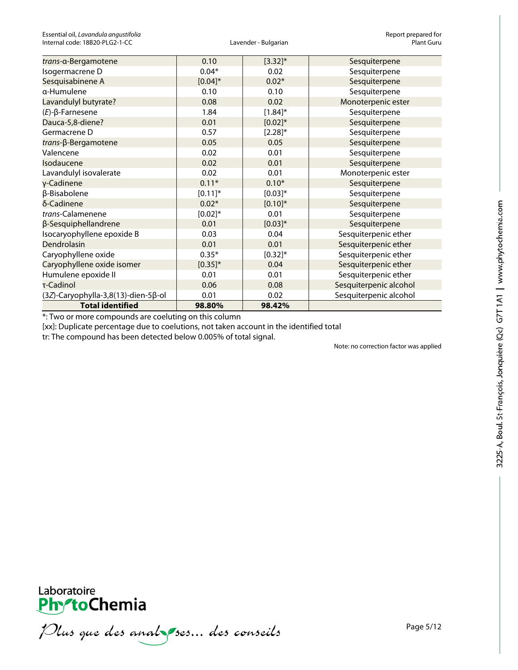| trans-a-Bergamotene                 | 0.10         | $[3.32]$ *   | Sesquiterpene          |
|-------------------------------------|--------------|--------------|------------------------|
| Isogermacrene D                     | $0.04*$      | 0.02         | Sesquiterpene          |
| Sesquisabinene A                    | $[0.04]$ *   | $0.02*$      | Sesquiterpene          |
| α-Humulene                          | 0.10         | 0.10         | Sesquiterpene          |
| Lavandulyl butyrate?                | 0.08         | 0.02         | Monoterpenic ester     |
| $(E)$ - $\beta$ -Farnesene          | 1.84         | $[1.84]^{*}$ | Sesquiterpene          |
| Dauca-5,8-diene?                    | 0.01         | $[0.02]*$    | Sesquiterpene          |
| Germacrene D                        | 0.57         | $[2.28]^{*}$ | Sesquiterpene          |
| trans-β-Bergamotene                 | 0.05         | 0.05         | Sesquiterpene          |
| Valencene                           | 0.02         | 0.01         | Sesquiterpene          |
| Isodaucene                          | 0.02         | 0.01         | Sesquiterpene          |
| Lavandulyl isovalerate              | 0.02         | 0.01         | Monoterpenic ester     |
| y-Cadinene                          | $0.11*$      | $0.10*$      | Sesquiterpene          |
| β-Bisabolene                        | $[0.11]$ *   | $[0.03]*$    | Sesquiterpene          |
| δ-Cadinene                          | $0.02*$      | $[0.10]$ *   | Sesquiterpene          |
| trans-Calamenene                    | $[0.02]*$    | 0.01         | Sesquiterpene          |
| β-Sesquiphellandrene                | 0.01         | $[0.03]*$    | Sesquiterpene          |
| Isocaryophyllene epoxide B          | 0.03         | 0.04         | Sesquiterpenic ether   |
| Dendrolasin                         | 0.01         | 0.01         | Sesquiterpenic ether   |
| Caryophyllene oxide                 | $0.35*$      | $[0.32]^{*}$ | Sesquiterpenic ether   |
| Caryophyllene oxide isomer          | $[0.35]^{*}$ | 0.04         | Sesquiterpenic ether   |
| Humulene epoxide II                 | 0.01         | 0.01         | Sesquiterpenic ether   |
| τ-Cadinol                           | 0.06         | 0.08         | Sesquiterpenic alcohol |
| (3Z)-Caryophylla-3,8(13)-dien-5β-ol | 0.01         | 0.02         | Sesquiterpenic alcohol |
| <b>Total identified</b>             | 98.80%       | 98.42%       |                        |

\*: Two or more compounds are coeluting on this column

[xx]: Duplicate percentage due to coelutions, not taken account in the identified total

tr: The compound has been detected below 0.005% of total signal.

Note: no correction factor was applied



Plus que des analzes... des conseils

Page 5/12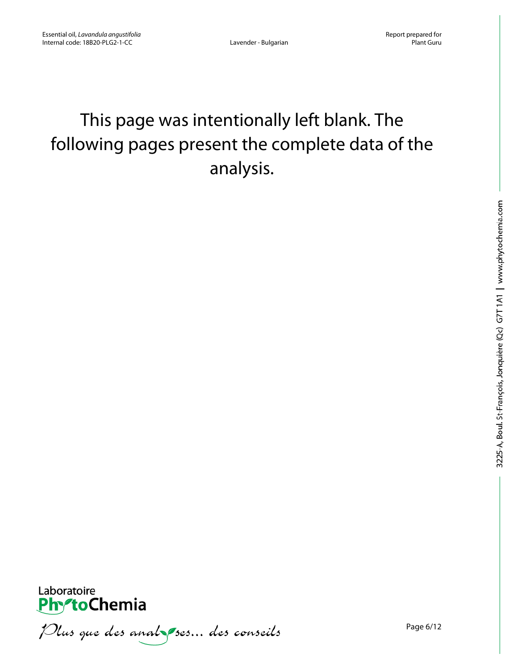# This page was intentionally left blank. The following pages present the complete data of the analysis.



Plus que des analzes... des conseils

Page 6/12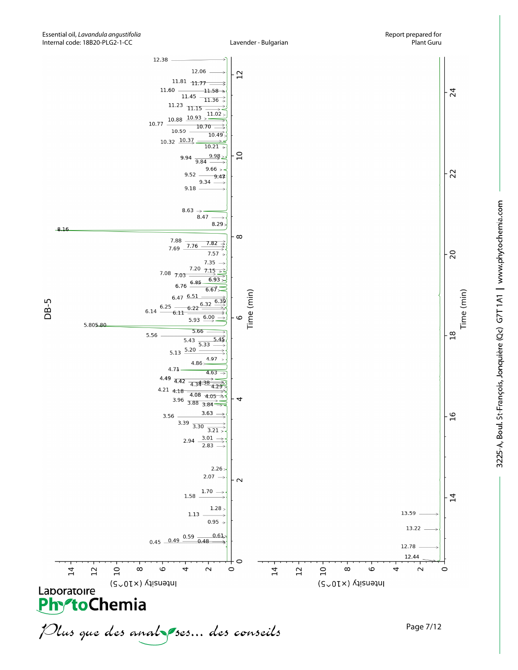

3225-A, Boul. St-François, Jonquière (Qc) G7T 1A1 | www.phytochemia.com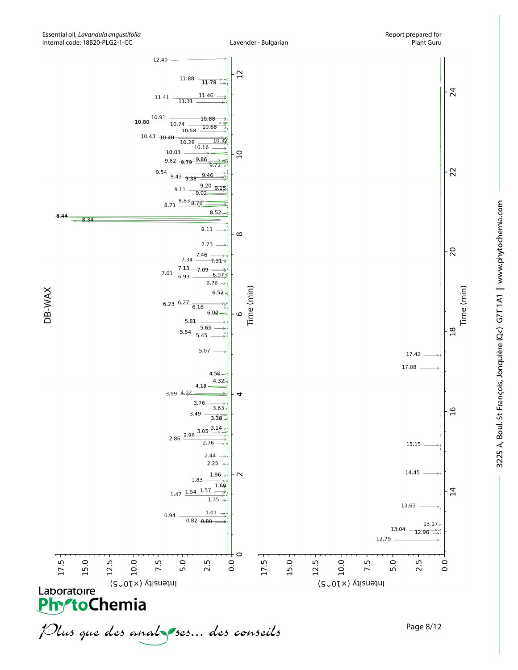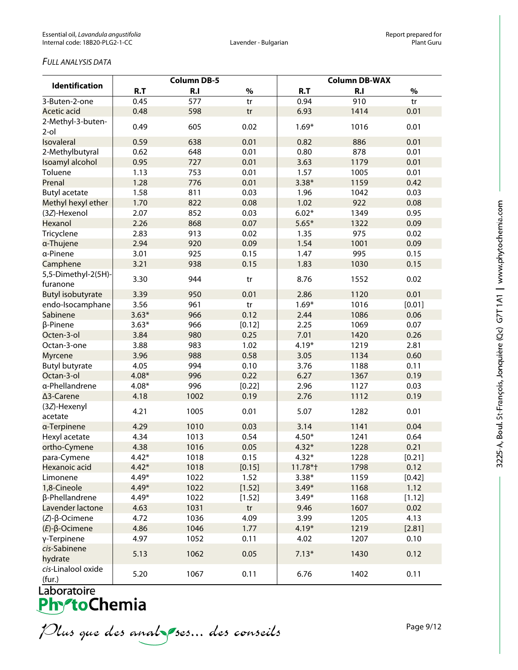## *FULL ANALYSIS DATA*

|                              | <b>Column DB-5</b> |      |        | <b>Column DB-WAX</b> |                |        |  |
|------------------------------|--------------------|------|--------|----------------------|----------------|--------|--|
| <b>Identification</b>        | R.T                | R.I  | $\%$   | R.T                  | R <sub>1</sub> | $\%$   |  |
| 3-Buten-2-one                | 0.45               | 577  | tr     | 0.94                 | 910            | tr     |  |
| <b>Acetic acid</b>           | 0.48               | 598  | tr     | 6.93                 | 1414           | 0.01   |  |
| 2-Methyl-3-buten-<br>$2$ -ol | 0.49               | 605  | 0.02   | $1.69*$              | 1016           | 0.01   |  |
| Isovaleral                   | 0.59               | 638  | 0.01   | 0.82                 | 886            | 0.01   |  |
| 2-Methylbutyral              | 0.62               | 648  | 0.01   | 0.80                 | 878            | 0.01   |  |
| Isoamyl alcohol              | 0.95               | 727  | 0.01   | 3.63                 | 1179           | 0.01   |  |
| Toluene                      | 1.13               | 753  | 0.01   | 1.57                 | 1005           | 0.01   |  |
| Prenal                       | 1.28               | 776  | 0.01   | $3.38*$              | 1159           | 0.42   |  |
| <b>Butyl acetate</b>         | 1.58               | 811  | 0.03   | 1.96                 | 1042           | 0.03   |  |
| Methyl hexyl ether           | 1.70               | 822  | 0.08   | 1.02                 | 922            | 0.08   |  |
| (3Z)-Hexenol                 | 2.07               | 852  | 0.03   | $6.02*$              | 1349           | 0.95   |  |
| Hexanol                      | 2.26               | 868  | 0.07   | $5.65*$              | 1322           | 0.09   |  |
| Tricyclene                   | 2.83               | 913  | 0.02   | 1.35                 | 975            | 0.02   |  |
| a-Thujene                    | 2.94               | 920  | 0.09   | 1.54                 | 1001           | 0.09   |  |
| a-Pinene                     | 3.01               | 925  | 0.15   | 1.47                 | 995            | 0.15   |  |
| Camphene                     | 3.21               | 938  | 0.15   | 1.83                 | 1030           | 0.15   |  |
| 5,5-Dimethyl-2(5H)-          |                    |      |        |                      |                |        |  |
| furanone                     | 3.30               | 944  | tr     | 8.76                 | 1552           | 0.02   |  |
| <b>Butyl isobutyrate</b>     | 3.39               | 950  | 0.01   | 2.86                 | 1120           | 0.01   |  |
| endo-Isocamphane             | 3.56               | 961  | tr     | $1.69*$              | 1016           | [0.01] |  |
| Sabinene                     | $3.63*$            | 966  | 0.12   | 2.44                 | 1086           | 0.06   |  |
| β-Pinene                     | $3.63*$            | 966  | [0.12] | 2.25                 | 1069           | 0.07   |  |
| Octen-3-ol                   | 3.84               | 980  | 0.25   | 7.01                 | 1420           | 0.26   |  |
| Octan-3-one                  | 3.88               | 983  | 1.02   | $4.19*$              | 1219           | 2.81   |  |
| <b>Myrcene</b>               | 3.96               | 988  | 0.58   | 3.05                 | 1134           | 0.60   |  |
| <b>Butyl butyrate</b>        | 4.05               | 994  | 0.10   | 3.76                 | 1188           | 0.11   |  |
| Octan-3-ol                   | $4.08*$            | 996  | 0.22   | 6.27                 | 1367           | 0.19   |  |
| a-Phellandrene               | $4.08*$            | 996  | [0.22] | 2.96                 | 1127           | 0.03   |  |
| ∆3-Carene                    | 4.18               | 1002 | 0.19   | 2.76                 | 1112           | 0.19   |  |
| (3Z)-Hexenyl<br>acetate      | 4.21               | 1005 | 0.01   | 5.07                 | 1282           | 0.01   |  |
| a-Terpinene                  | 4.29               | 1010 | 0.03   | 3.14                 | 1141           | 0.04   |  |
| Hexyl acetate                | 4.34               | 1013 | 0.54   | $4.50*$              | 1241           | 0.64   |  |
| ortho-Cymene                 | 4.38               | 1016 | 0.05   | $4.32*$              | 1228           | 0.21   |  |
| para-Cymene                  | $4.42*$            | 1018 | 0.15   | $4.32*$              | 1228           | [0.21] |  |
| Hexanoic acid                | $4.42*$            | 1018 | [0.15] | 11.78*†              | 1798           | 0.12   |  |
| Limonene                     | $4.49*$            | 1022 | 1.52   | $3.38*$              | 1159           | [0.42] |  |
| 1,8-Cineole                  | $4.49*$            | 1022 | [1.52] | $3.49*$              | 1168           | 1.12   |  |
| β-Phellandrene               | $4.49*$            | 1022 | [1.52] | $3.49*$              | 1168           | [1.12] |  |
| Lavender lactone             | 4.63               | 1031 | tr     | 9.46                 | 1607           | 0.02   |  |
| $(Z)-\beta$ -Ocimene         | 4.72               | 1036 | 4.09   | 3.99                 | 1205           | 4.13   |  |
| $(E)$ - $\beta$ -Ocimene     | 4.86               | 1046 | 1.77   | $4.19*$              | 1219           | [2.81] |  |
| γ-Terpinene                  | 4.97               | 1052 | 0.11   | 4.02                 | 1207           | 0.10   |  |
| cis-Sabinene<br>hydrate      | 5.13               | 1062 | 0.05   | $7.13*$              | 1430           | 0.12   |  |
| cis-Linalool oxide<br>(fur.) | 5.20               | 1067 | 0.11   | 6.76                 | 1402           | 0.11   |  |

Plus que des analzes... des conseils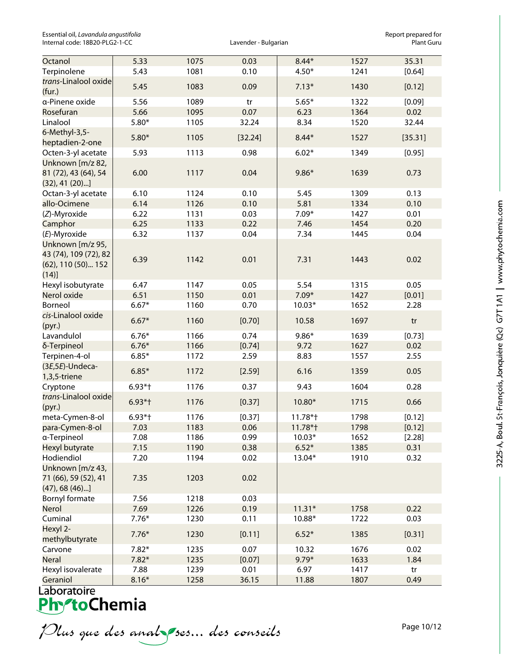Essential oil, *Lavandula angustifolia* and the sense of the control of the control of the control of the control of the control of the control of the control of the control of the control of the control of the control of Internal code: 18B20-PLG2-1-CC

| Octanol                                   | 5.33      | 1075 | 0.03    | $8.44*$  | 1527 | 35.31   |
|-------------------------------------------|-----------|------|---------|----------|------|---------|
| Terpinolene                               | 5.43      | 1081 | 0.10    | $4.50*$  | 1241 | [0.64]  |
| trans-Linalool oxide<br>(fur.)            | 5.45      | 1083 | 0.09    | $7.13*$  | 1430 | [0.12]  |
| a-Pinene oxide                            | 5.56      | 1089 | tr      | $5.65*$  | 1322 | [0.09]  |
| Rosefuran                                 | 5.66      | 1095 | 0.07    | 6.23     | 1364 | 0.02    |
| Linalool                                  | $5.80*$   | 1105 | 32.24   | 8.34     | 1520 | 32.44   |
| 6-Methyl-3,5-                             |           |      |         |          |      |         |
| heptadien-2-one                           | $5.80*$   | 1105 | [32.24] | $8.44*$  | 1527 | [35.31] |
| Octen-3-yl acetate                        | 5.93      | 1113 | 0.98    | $6.02*$  | 1349 | [0.95]  |
| Unknown [m/z 82,                          |           |      |         |          |      |         |
| 81 (72), 43 (64), 54<br>$(32), 41 (20)$ ] | 6.00      | 1117 | 0.04    | $9.86*$  | 1639 | 0.73    |
| Octan-3-yl acetate                        | 6.10      | 1124 | 0.10    | 5.45     | 1309 | 0.13    |
| allo-Ocimene                              | 6.14      | 1126 | 0.10    | 5.81     | 1334 | 0.10    |
| (Z)-Myroxide                              | 6.22      | 1131 | 0.03    | $7.09*$  | 1427 | 0.01    |
| Camphor                                   | 6.25      | 1133 | 0.22    | 7.46     | 1454 | 0.20    |
| (E)-Myroxide                              | 6.32      | 1137 | 0.04    | 7.34     | 1445 | 0.04    |
| Unknown [m/z 95,                          |           |      |         |          |      |         |
| 43 (74), 109 (72), 82                     |           |      |         |          |      |         |
| (62), 110 (50) 152                        | 6.39      | 1142 | 0.01    | 7.31     | 1443 | 0.02    |
| (14)]                                     |           |      |         |          |      |         |
| Hexyl isobutyrate                         | 6.47      | 1147 | 0.05    | 5.54     | 1315 | 0.05    |
| Nerol oxide                               | 6.51      | 1150 | 0.01    | $7.09*$  | 1427 | [0.01]  |
| Borneol                                   | $6.67*$   | 1160 | 0.70    | $10.03*$ | 1652 | 2.28    |
| cis-Linalool oxide                        |           |      |         |          |      |         |
| (pyr.)                                    | $6.67*$   | 1160 | [0.70]  | 10.58    | 1697 | tr      |
| Lavandulol                                | $6.76*$   | 1166 | 0.74    | $9.86*$  | 1639 | [0.73]  |
| δ-Terpineol                               | $6.76*$   | 1166 | [0.74]  | 9.72     | 1627 | 0.02    |
| Terpinen-4-ol                             | $6.85*$   | 1172 | 2.59    | 8.83     | 1557 | 2.55    |
| $(3E,5E)$ -Undeca-                        | $6.85*$   | 1172 | [2.59]  | 6.16     | 1359 | 0.05    |
| 1,3,5-triene                              |           |      |         |          |      |         |
| Cryptone                                  | $6.93*$ † | 1176 | 0.37    | 9.43     | 1604 | 0.28    |
| trans-Linalool oxide                      | $6.93*$ † | 1176 | [0.37]  | 10.80*   | 1715 | 0.66    |
| (pyr.)                                    |           |      |         |          |      |         |
| meta-Cymen-8-ol                           | $6.93*$ † | 1176 | [0.37]  | 11.78*†  | 1798 | [0.12]  |
| para-Cymen-8-ol                           | 7.03      | 1183 | 0.06    | 11.78*†  | 1798 | [0.12]  |
| a-Terpineol                               | 7.08      | 1186 | 0.99    | $10.03*$ | 1652 | [2.28]  |
| Hexyl butyrate                            | 7.15      | 1190 | 0.38    | $6.52*$  | 1385 | 0.31    |
| Hodiendiol                                | 7.20      | 1194 | 0.02    | 13.04*   | 1910 | 0.32    |
| Unknown [m/z 43,                          |           |      |         |          |      |         |
| 71 (66), 59 (52), 41                      | 7.35      | 1203 | 0.02    |          |      |         |
| $(47)$ , 68 $(46)$ ]                      |           |      |         |          |      |         |
| Bornyl formate                            | 7.56      | 1218 | 0.03    |          |      |         |
| Nerol                                     | 7.69      | 1226 | 0.19    | $11.31*$ | 1758 | 0.22    |
| Cuminal                                   | $7.76*$   | 1230 | 0.11    | 10.88*   | 1722 | 0.03    |
| Hexyl 2-<br>methylbutyrate                | $7.76*$   | 1230 | [0.11]  | $6.52*$  | 1385 | [0.31]  |
| Carvone                                   | $7.82*$   | 1235 | 0.07    | 10.32    | 1676 | 0.02    |
| <b>Neral</b>                              | $7.82*$   | 1235 | [0.07]  | $9.79*$  | 1633 | 1.84    |
| Hexyl isovalerate                         | 7.88      | 1239 | 0.01    | 6.97     | 1417 | tr      |
| Geraniol                                  | $8.16*$   | 1258 | 36.15   | 11.88    | 1807 | 0.49    |

Plus que des analzes... des conseils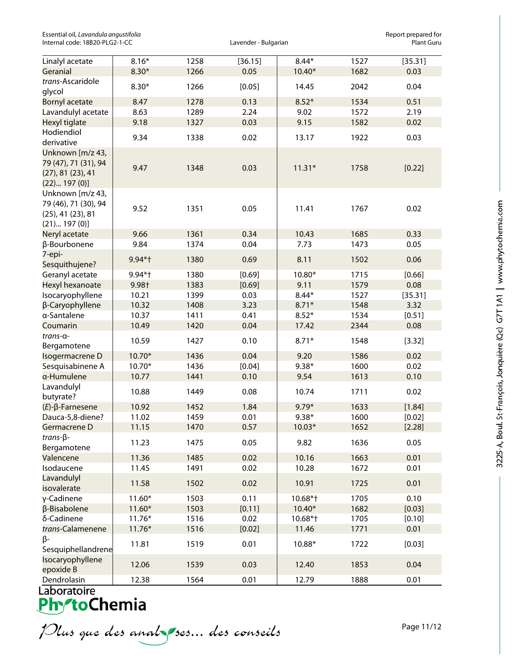Essential oil, *Lavandula angustifolia*<br>Internal code: 18B20-PLG2-1-CC **Report provides and the controller** and the controller expansion and the control<br>Rant Guru Internal code: 18B20-PLG2-1-CC

| $8.16*$<br>1258<br>[36.15]<br>$8.44*$<br>1527<br>Linalyl acetate<br>$8.30*$<br>0.05<br>1682<br>0.03<br>Geranial<br>1266<br>10.40*<br>trans-Ascaridole<br>$8.30*$<br>2042<br>0.04<br>1266<br>[0.05]<br>14.45<br>glycol<br>8.47<br>1278<br>0.13<br>$8.52*$<br>1534<br>0.51<br><b>Bornyl acetate</b><br>8.63<br>2.24<br>9.02<br>2.19<br>Lavandulyl acetate<br>1289<br>1572<br>0.03<br>9.15<br>1582<br>0.02<br>Hexyl tiglate<br>9.18<br>1327<br>Hodiendiol<br>9.34<br>0.02<br>1922<br>0.03<br>1338<br>13.17<br>derivative<br>Unknown [m/z 43,<br>79 (47), 71 (31), 94<br>9.47<br>1348<br>0.03<br>$11.31*$<br>1758<br>[0.22]<br>(27), 81 (23), 41<br>(22) 197(0)]<br>Unknown [m/z 43,<br>79 (46), 71 (30), 94<br>9.52<br>1351<br>0.05<br>11.41<br>1767<br>0.02<br>$(25)$ , 41 $(23)$ , 81<br>(21) 197(0)]<br>9.66<br>1361<br>0.34<br>0.33<br>Neryl acetate<br>10.43<br>1685<br>β-Bourbonene<br>9.84<br>1374<br>0.04<br>7.73<br>1473<br>0.05<br>7-epi-<br>9.94*†<br>1380<br>0.69<br>8.11<br>1502<br>0.06<br>Sesquithujene?<br>1380<br>[0.69]<br>10.80*<br>1715<br>[0.66]<br>Geranyl acetate<br>9.94*+<br>9.98+<br>[0.69]<br>9.11<br>0.08<br>Hexyl hexanoate<br>1383<br>1579<br>Isocaryophyllene<br>10.21<br>1399<br>0.03<br>$8.44*$<br>1527<br>3.32<br>10.32<br>3.23<br>β-Caryophyllene<br>1408<br>$8.71*$<br>1548<br>a-Santalene<br>10.37<br>1411<br>0.41<br>$8.52*$<br>1534<br>[0.51]<br>0.08<br>Coumarin<br>10.49<br>1420<br>0.04<br>17.42<br>2344<br>trans-a-<br>10.59<br>1427<br>0.10<br>$8.71*$<br>1548<br>[3.32]<br>Bergamotene<br>10.70*<br>1436<br>0.04<br>9.20<br>1586<br>0.02<br>Isogermacrene D<br>10.70*<br>$9.38*$<br>0.02<br>Sesquisabinene A<br>1436<br>[0.04]<br>1600<br>a-Humulene<br>0.10<br>1613<br>0.10<br>10.77<br>1441<br>9.54<br>Lavandulyl<br>10.88<br>1449<br>0.08<br>1711<br>0.02<br>10.74<br>butyrate?<br>$(E)$ - $\beta$ -Farnesene<br>10.92<br>1452<br>1.84<br>$9.79*$<br>1633<br>[1.84]<br>11.02<br>1459<br>$9.38*$<br>Dauca-5,8-diene?<br>0.01<br>1600<br>[0.02]<br>[2.28]<br>11.15<br>1470<br>0.57<br>$10.03*$<br>1652<br>Germacrene D<br>$trans-\beta$ -<br>1636<br>0.05<br>11.23<br>1475<br>0.05<br>9.82<br>Bergamotene<br>11.36<br>1485<br>0.02<br>10.16<br>1663<br>0.01<br>Valencene<br>Isodaucene<br>11.45<br>1491<br>0.02<br>10.28<br>1672<br>0.01<br>Lavandulyl<br>0.01<br>11.58<br>1502<br>0.02<br>10.91<br>1725<br>isovalerate<br>$11.60*$<br>0.11<br>0.10<br>γ-Cadinene<br>1503<br>10.68*+<br>1705<br>$11.60*$<br>1503<br>10.40*<br>1682<br>β-Bisabolene<br>[0.11]<br>[0.03]<br>δ-Cadinene<br>$11.76*$<br>1516<br>0.02<br>10.68*+<br>1705<br>[0.10]<br>11.46<br>0.01<br>trans-Calamenene<br>$11.76*$<br>1516<br>[0.02]<br>1771<br>β-<br>0.01<br>[0.03]<br>11.81<br>1519<br>10.88*<br>1722<br>Sesquiphellandrene |                  |  |  |         |
|------------------------------------------------------------------------------------------------------------------------------------------------------------------------------------------------------------------------------------------------------------------------------------------------------------------------------------------------------------------------------------------------------------------------------------------------------------------------------------------------------------------------------------------------------------------------------------------------------------------------------------------------------------------------------------------------------------------------------------------------------------------------------------------------------------------------------------------------------------------------------------------------------------------------------------------------------------------------------------------------------------------------------------------------------------------------------------------------------------------------------------------------------------------------------------------------------------------------------------------------------------------------------------------------------------------------------------------------------------------------------------------------------------------------------------------------------------------------------------------------------------------------------------------------------------------------------------------------------------------------------------------------------------------------------------------------------------------------------------------------------------------------------------------------------------------------------------------------------------------------------------------------------------------------------------------------------------------------------------------------------------------------------------------------------------------------------------------------------------------------------------------------------------------------------------------------------------------------------------------------------------------------------------------------------------------------------------------------------------------------------------------------------------------------------------------------------------------------------------------------------------------------------------------------------------------------------------------------------------------------------------------------------------------------------------------------------------------------------------------------------|------------------|--|--|---------|
|                                                                                                                                                                                                                                                                                                                                                                                                                                                                                                                                                                                                                                                                                                                                                                                                                                                                                                                                                                                                                                                                                                                                                                                                                                                                                                                                                                                                                                                                                                                                                                                                                                                                                                                                                                                                                                                                                                                                                                                                                                                                                                                                                                                                                                                                                                                                                                                                                                                                                                                                                                                                                                                                                                                                                      |                  |  |  | [35.31] |
|                                                                                                                                                                                                                                                                                                                                                                                                                                                                                                                                                                                                                                                                                                                                                                                                                                                                                                                                                                                                                                                                                                                                                                                                                                                                                                                                                                                                                                                                                                                                                                                                                                                                                                                                                                                                                                                                                                                                                                                                                                                                                                                                                                                                                                                                                                                                                                                                                                                                                                                                                                                                                                                                                                                                                      |                  |  |  |         |
|                                                                                                                                                                                                                                                                                                                                                                                                                                                                                                                                                                                                                                                                                                                                                                                                                                                                                                                                                                                                                                                                                                                                                                                                                                                                                                                                                                                                                                                                                                                                                                                                                                                                                                                                                                                                                                                                                                                                                                                                                                                                                                                                                                                                                                                                                                                                                                                                                                                                                                                                                                                                                                                                                                                                                      |                  |  |  |         |
|                                                                                                                                                                                                                                                                                                                                                                                                                                                                                                                                                                                                                                                                                                                                                                                                                                                                                                                                                                                                                                                                                                                                                                                                                                                                                                                                                                                                                                                                                                                                                                                                                                                                                                                                                                                                                                                                                                                                                                                                                                                                                                                                                                                                                                                                                                                                                                                                                                                                                                                                                                                                                                                                                                                                                      |                  |  |  |         |
|                                                                                                                                                                                                                                                                                                                                                                                                                                                                                                                                                                                                                                                                                                                                                                                                                                                                                                                                                                                                                                                                                                                                                                                                                                                                                                                                                                                                                                                                                                                                                                                                                                                                                                                                                                                                                                                                                                                                                                                                                                                                                                                                                                                                                                                                                                                                                                                                                                                                                                                                                                                                                                                                                                                                                      |                  |  |  |         |
|                                                                                                                                                                                                                                                                                                                                                                                                                                                                                                                                                                                                                                                                                                                                                                                                                                                                                                                                                                                                                                                                                                                                                                                                                                                                                                                                                                                                                                                                                                                                                                                                                                                                                                                                                                                                                                                                                                                                                                                                                                                                                                                                                                                                                                                                                                                                                                                                                                                                                                                                                                                                                                                                                                                                                      |                  |  |  |         |
|                                                                                                                                                                                                                                                                                                                                                                                                                                                                                                                                                                                                                                                                                                                                                                                                                                                                                                                                                                                                                                                                                                                                                                                                                                                                                                                                                                                                                                                                                                                                                                                                                                                                                                                                                                                                                                                                                                                                                                                                                                                                                                                                                                                                                                                                                                                                                                                                                                                                                                                                                                                                                                                                                                                                                      |                  |  |  |         |
|                                                                                                                                                                                                                                                                                                                                                                                                                                                                                                                                                                                                                                                                                                                                                                                                                                                                                                                                                                                                                                                                                                                                                                                                                                                                                                                                                                                                                                                                                                                                                                                                                                                                                                                                                                                                                                                                                                                                                                                                                                                                                                                                                                                                                                                                                                                                                                                                                                                                                                                                                                                                                                                                                                                                                      |                  |  |  |         |
|                                                                                                                                                                                                                                                                                                                                                                                                                                                                                                                                                                                                                                                                                                                                                                                                                                                                                                                                                                                                                                                                                                                                                                                                                                                                                                                                                                                                                                                                                                                                                                                                                                                                                                                                                                                                                                                                                                                                                                                                                                                                                                                                                                                                                                                                                                                                                                                                                                                                                                                                                                                                                                                                                                                                                      |                  |  |  |         |
|                                                                                                                                                                                                                                                                                                                                                                                                                                                                                                                                                                                                                                                                                                                                                                                                                                                                                                                                                                                                                                                                                                                                                                                                                                                                                                                                                                                                                                                                                                                                                                                                                                                                                                                                                                                                                                                                                                                                                                                                                                                                                                                                                                                                                                                                                                                                                                                                                                                                                                                                                                                                                                                                                                                                                      |                  |  |  |         |
|                                                                                                                                                                                                                                                                                                                                                                                                                                                                                                                                                                                                                                                                                                                                                                                                                                                                                                                                                                                                                                                                                                                                                                                                                                                                                                                                                                                                                                                                                                                                                                                                                                                                                                                                                                                                                                                                                                                                                                                                                                                                                                                                                                                                                                                                                                                                                                                                                                                                                                                                                                                                                                                                                                                                                      |                  |  |  |         |
|                                                                                                                                                                                                                                                                                                                                                                                                                                                                                                                                                                                                                                                                                                                                                                                                                                                                                                                                                                                                                                                                                                                                                                                                                                                                                                                                                                                                                                                                                                                                                                                                                                                                                                                                                                                                                                                                                                                                                                                                                                                                                                                                                                                                                                                                                                                                                                                                                                                                                                                                                                                                                                                                                                                                                      |                  |  |  |         |
|                                                                                                                                                                                                                                                                                                                                                                                                                                                                                                                                                                                                                                                                                                                                                                                                                                                                                                                                                                                                                                                                                                                                                                                                                                                                                                                                                                                                                                                                                                                                                                                                                                                                                                                                                                                                                                                                                                                                                                                                                                                                                                                                                                                                                                                                                                                                                                                                                                                                                                                                                                                                                                                                                                                                                      |                  |  |  |         |
|                                                                                                                                                                                                                                                                                                                                                                                                                                                                                                                                                                                                                                                                                                                                                                                                                                                                                                                                                                                                                                                                                                                                                                                                                                                                                                                                                                                                                                                                                                                                                                                                                                                                                                                                                                                                                                                                                                                                                                                                                                                                                                                                                                                                                                                                                                                                                                                                                                                                                                                                                                                                                                                                                                                                                      |                  |  |  |         |
|                                                                                                                                                                                                                                                                                                                                                                                                                                                                                                                                                                                                                                                                                                                                                                                                                                                                                                                                                                                                                                                                                                                                                                                                                                                                                                                                                                                                                                                                                                                                                                                                                                                                                                                                                                                                                                                                                                                                                                                                                                                                                                                                                                                                                                                                                                                                                                                                                                                                                                                                                                                                                                                                                                                                                      |                  |  |  |         |
|                                                                                                                                                                                                                                                                                                                                                                                                                                                                                                                                                                                                                                                                                                                                                                                                                                                                                                                                                                                                                                                                                                                                                                                                                                                                                                                                                                                                                                                                                                                                                                                                                                                                                                                                                                                                                                                                                                                                                                                                                                                                                                                                                                                                                                                                                                                                                                                                                                                                                                                                                                                                                                                                                                                                                      |                  |  |  | [35.31] |
|                                                                                                                                                                                                                                                                                                                                                                                                                                                                                                                                                                                                                                                                                                                                                                                                                                                                                                                                                                                                                                                                                                                                                                                                                                                                                                                                                                                                                                                                                                                                                                                                                                                                                                                                                                                                                                                                                                                                                                                                                                                                                                                                                                                                                                                                                                                                                                                                                                                                                                                                                                                                                                                                                                                                                      |                  |  |  |         |
|                                                                                                                                                                                                                                                                                                                                                                                                                                                                                                                                                                                                                                                                                                                                                                                                                                                                                                                                                                                                                                                                                                                                                                                                                                                                                                                                                                                                                                                                                                                                                                                                                                                                                                                                                                                                                                                                                                                                                                                                                                                                                                                                                                                                                                                                                                                                                                                                                                                                                                                                                                                                                                                                                                                                                      |                  |  |  |         |
|                                                                                                                                                                                                                                                                                                                                                                                                                                                                                                                                                                                                                                                                                                                                                                                                                                                                                                                                                                                                                                                                                                                                                                                                                                                                                                                                                                                                                                                                                                                                                                                                                                                                                                                                                                                                                                                                                                                                                                                                                                                                                                                                                                                                                                                                                                                                                                                                                                                                                                                                                                                                                                                                                                                                                      |                  |  |  |         |
|                                                                                                                                                                                                                                                                                                                                                                                                                                                                                                                                                                                                                                                                                                                                                                                                                                                                                                                                                                                                                                                                                                                                                                                                                                                                                                                                                                                                                                                                                                                                                                                                                                                                                                                                                                                                                                                                                                                                                                                                                                                                                                                                                                                                                                                                                                                                                                                                                                                                                                                                                                                                                                                                                                                                                      |                  |  |  |         |
|                                                                                                                                                                                                                                                                                                                                                                                                                                                                                                                                                                                                                                                                                                                                                                                                                                                                                                                                                                                                                                                                                                                                                                                                                                                                                                                                                                                                                                                                                                                                                                                                                                                                                                                                                                                                                                                                                                                                                                                                                                                                                                                                                                                                                                                                                                                                                                                                                                                                                                                                                                                                                                                                                                                                                      |                  |  |  |         |
|                                                                                                                                                                                                                                                                                                                                                                                                                                                                                                                                                                                                                                                                                                                                                                                                                                                                                                                                                                                                                                                                                                                                                                                                                                                                                                                                                                                                                                                                                                                                                                                                                                                                                                                                                                                                                                                                                                                                                                                                                                                                                                                                                                                                                                                                                                                                                                                                                                                                                                                                                                                                                                                                                                                                                      |                  |  |  |         |
|                                                                                                                                                                                                                                                                                                                                                                                                                                                                                                                                                                                                                                                                                                                                                                                                                                                                                                                                                                                                                                                                                                                                                                                                                                                                                                                                                                                                                                                                                                                                                                                                                                                                                                                                                                                                                                                                                                                                                                                                                                                                                                                                                                                                                                                                                                                                                                                                                                                                                                                                                                                                                                                                                                                                                      |                  |  |  |         |
|                                                                                                                                                                                                                                                                                                                                                                                                                                                                                                                                                                                                                                                                                                                                                                                                                                                                                                                                                                                                                                                                                                                                                                                                                                                                                                                                                                                                                                                                                                                                                                                                                                                                                                                                                                                                                                                                                                                                                                                                                                                                                                                                                                                                                                                                                                                                                                                                                                                                                                                                                                                                                                                                                                                                                      |                  |  |  |         |
|                                                                                                                                                                                                                                                                                                                                                                                                                                                                                                                                                                                                                                                                                                                                                                                                                                                                                                                                                                                                                                                                                                                                                                                                                                                                                                                                                                                                                                                                                                                                                                                                                                                                                                                                                                                                                                                                                                                                                                                                                                                                                                                                                                                                                                                                                                                                                                                                                                                                                                                                                                                                                                                                                                                                                      |                  |  |  |         |
|                                                                                                                                                                                                                                                                                                                                                                                                                                                                                                                                                                                                                                                                                                                                                                                                                                                                                                                                                                                                                                                                                                                                                                                                                                                                                                                                                                                                                                                                                                                                                                                                                                                                                                                                                                                                                                                                                                                                                                                                                                                                                                                                                                                                                                                                                                                                                                                                                                                                                                                                                                                                                                                                                                                                                      |                  |  |  |         |
|                                                                                                                                                                                                                                                                                                                                                                                                                                                                                                                                                                                                                                                                                                                                                                                                                                                                                                                                                                                                                                                                                                                                                                                                                                                                                                                                                                                                                                                                                                                                                                                                                                                                                                                                                                                                                                                                                                                                                                                                                                                                                                                                                                                                                                                                                                                                                                                                                                                                                                                                                                                                                                                                                                                                                      |                  |  |  |         |
|                                                                                                                                                                                                                                                                                                                                                                                                                                                                                                                                                                                                                                                                                                                                                                                                                                                                                                                                                                                                                                                                                                                                                                                                                                                                                                                                                                                                                                                                                                                                                                                                                                                                                                                                                                                                                                                                                                                                                                                                                                                                                                                                                                                                                                                                                                                                                                                                                                                                                                                                                                                                                                                                                                                                                      |                  |  |  |         |
|                                                                                                                                                                                                                                                                                                                                                                                                                                                                                                                                                                                                                                                                                                                                                                                                                                                                                                                                                                                                                                                                                                                                                                                                                                                                                                                                                                                                                                                                                                                                                                                                                                                                                                                                                                                                                                                                                                                                                                                                                                                                                                                                                                                                                                                                                                                                                                                                                                                                                                                                                                                                                                                                                                                                                      |                  |  |  |         |
|                                                                                                                                                                                                                                                                                                                                                                                                                                                                                                                                                                                                                                                                                                                                                                                                                                                                                                                                                                                                                                                                                                                                                                                                                                                                                                                                                                                                                                                                                                                                                                                                                                                                                                                                                                                                                                                                                                                                                                                                                                                                                                                                                                                                                                                                                                                                                                                                                                                                                                                                                                                                                                                                                                                                                      |                  |  |  |         |
|                                                                                                                                                                                                                                                                                                                                                                                                                                                                                                                                                                                                                                                                                                                                                                                                                                                                                                                                                                                                                                                                                                                                                                                                                                                                                                                                                                                                                                                                                                                                                                                                                                                                                                                                                                                                                                                                                                                                                                                                                                                                                                                                                                                                                                                                                                                                                                                                                                                                                                                                                                                                                                                                                                                                                      |                  |  |  |         |
|                                                                                                                                                                                                                                                                                                                                                                                                                                                                                                                                                                                                                                                                                                                                                                                                                                                                                                                                                                                                                                                                                                                                                                                                                                                                                                                                                                                                                                                                                                                                                                                                                                                                                                                                                                                                                                                                                                                                                                                                                                                                                                                                                                                                                                                                                                                                                                                                                                                                                                                                                                                                                                                                                                                                                      |                  |  |  |         |
|                                                                                                                                                                                                                                                                                                                                                                                                                                                                                                                                                                                                                                                                                                                                                                                                                                                                                                                                                                                                                                                                                                                                                                                                                                                                                                                                                                                                                                                                                                                                                                                                                                                                                                                                                                                                                                                                                                                                                                                                                                                                                                                                                                                                                                                                                                                                                                                                                                                                                                                                                                                                                                                                                                                                                      |                  |  |  |         |
|                                                                                                                                                                                                                                                                                                                                                                                                                                                                                                                                                                                                                                                                                                                                                                                                                                                                                                                                                                                                                                                                                                                                                                                                                                                                                                                                                                                                                                                                                                                                                                                                                                                                                                                                                                                                                                                                                                                                                                                                                                                                                                                                                                                                                                                                                                                                                                                                                                                                                                                                                                                                                                                                                                                                                      |                  |  |  |         |
|                                                                                                                                                                                                                                                                                                                                                                                                                                                                                                                                                                                                                                                                                                                                                                                                                                                                                                                                                                                                                                                                                                                                                                                                                                                                                                                                                                                                                                                                                                                                                                                                                                                                                                                                                                                                                                                                                                                                                                                                                                                                                                                                                                                                                                                                                                                                                                                                                                                                                                                                                                                                                                                                                                                                                      |                  |  |  |         |
|                                                                                                                                                                                                                                                                                                                                                                                                                                                                                                                                                                                                                                                                                                                                                                                                                                                                                                                                                                                                                                                                                                                                                                                                                                                                                                                                                                                                                                                                                                                                                                                                                                                                                                                                                                                                                                                                                                                                                                                                                                                                                                                                                                                                                                                                                                                                                                                                                                                                                                                                                                                                                                                                                                                                                      |                  |  |  |         |
|                                                                                                                                                                                                                                                                                                                                                                                                                                                                                                                                                                                                                                                                                                                                                                                                                                                                                                                                                                                                                                                                                                                                                                                                                                                                                                                                                                                                                                                                                                                                                                                                                                                                                                                                                                                                                                                                                                                                                                                                                                                                                                                                                                                                                                                                                                                                                                                                                                                                                                                                                                                                                                                                                                                                                      |                  |  |  |         |
| 0.04<br>12.06<br>1539<br>0.03<br>12.40<br>1853<br>epoxide B                                                                                                                                                                                                                                                                                                                                                                                                                                                                                                                                                                                                                                                                                                                                                                                                                                                                                                                                                                                                                                                                                                                                                                                                                                                                                                                                                                                                                                                                                                                                                                                                                                                                                                                                                                                                                                                                                                                                                                                                                                                                                                                                                                                                                                                                                                                                                                                                                                                                                                                                                                                                                                                                                          | Isocaryophyllene |  |  |         |
| 12.38<br>Dendrolasin<br>1564<br>12.79<br>1888<br>0.01<br>0.01                                                                                                                                                                                                                                                                                                                                                                                                                                                                                                                                                                                                                                                                                                                                                                                                                                                                                                                                                                                                                                                                                                                                                                                                                                                                                                                                                                                                                                                                                                                                                                                                                                                                                                                                                                                                                                                                                                                                                                                                                                                                                                                                                                                                                                                                                                                                                                                                                                                                                                                                                                                                                                                                                        |                  |  |  |         |

Plus que des analzes... des conseils

Page 11/12